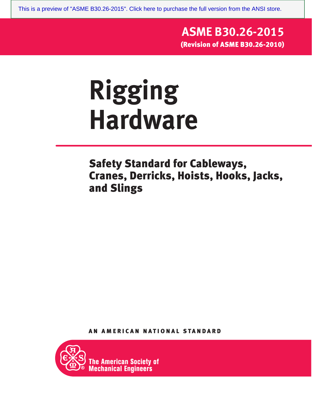[This is a preview of "ASME B30.26-2015". Click here to purchase the full version from the ANSI store.](https://webstore.ansi.org/Standards/ASME/ASMEB30262015?source=preview)

### **ASME B30.26-2015** (Revision of ASME B30.26-2010)

## **Rigging Hardware**

Safety Standard for Cableways, Cranes, Derricks, Hoists, Hooks, Jacks, and Slings

AN AMERICAN NATIONAL STANDARD

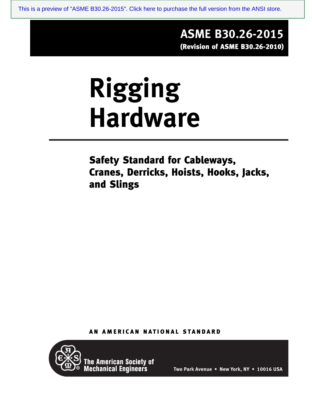[This is a preview of "ASME B30.26-2015". Click here to purchase the full version from the ANSI store.](https://webstore.ansi.org/Standards/ASME/ASMEB30262015?source=preview)

#### **ASME B30.26-2015** (Revision of ASME B30.26-2010)

# **Rigging Hardware**

Safety Standard for Cableways, Cranes, Derricks, Hoists, Hooks, Jacks, and Slings

AN AMERICAN NATIONAL STANDARD



The American Society of<br>Mechanical Engineers

**Two Park Avenue • New York, NY • 10016 USA**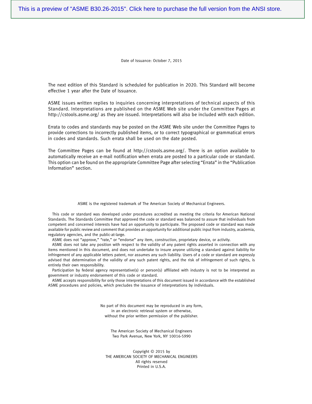Date of Issuance: October 7, 2015

The next edition of this Standard is scheduled for publication in 2020. This Standard will become effective 1 year after the Date of Issuance.

ASME issues written replies to inquiries concerning interpretations of technical aspects of this Standard. Interpretations are published on the ASME Web site under the Committee Pages at http://cstools.asme.org/ as they are issued. Interpretations will also be included with each edition.

Errata to codes and standards may be posted on the ASME Web site under the Committee Pages to provide corrections to incorrectly published items, or to correct typographical or grammatical errors in codes and standards. Such errata shall be used on the date posted.

The Committee Pages can be found at http://cstools.asme.org/. There is an option available to automatically receive an e-mail notification when errata are posted to a particular code or standard. This option can be found on the appropriate Committee Page after selecting "Errata" in the "Publication Information" section.

ASME is the registered trademark of The American Society of Mechanical Engineers.

This code or standard was developed under procedures accredited as meeting the criteria for American National Standards. The Standards Committee that approved the code or standard was balanced to assure that individuals from competent and concerned interests have had an opportunity to participate. The proposed code or standard was made available for public review and comment that provides an opportunity for additional public input from industry, academia, regulatory agencies, and the public-at-large.

ASME does not "approve," "rate," or "endorse" any item, construction, proprietary device, or activity.

ASME does not take any position with respect to the validity of any patent rights asserted in connection with any items mentioned in this document, and does not undertake to insure anyone utilizing a standard against liability for infringement of any applicable letters patent, nor assumes any such liability. Users of a code or standard are expressly advised that determination of the validity of any such patent rights, and the risk of infringement of such rights, is entirely their own responsibility.

Participation by federal agency representative(s) or person(s) affiliated with industry is not to be interpreted as government or industry endorsement of this code or standard.

ASME accepts responsibility for only those interpretations of this document issued in accordance with the established ASME procedures and policies, which precludes the issuance of interpretations by individuals.

> No part of this document may be reproduced in any form, in an electronic retrieval system or otherwise, without the prior written permission of the publisher.

The American Society of Mechanical Engineers Two Park Avenue, New York, NY 10016-5990

Copyright © 2015 by THE AMERICAN SOCIETY OF MECHANICAL ENGINEERS All rights reserved Printed in U.S.A.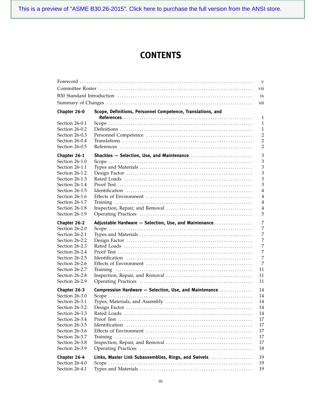[This is a preview of "ASME B30.26-2015". Click here to purchase the full version from the ANSI store.](https://webstore.ansi.org/Standards/ASME/ASMEB30262015?source=preview)

#### **CONTENTS**

|                                  |                                                             | $\mathbf{V}$   |
|----------------------------------|-------------------------------------------------------------|----------------|
|                                  |                                                             | vii            |
|                                  |                                                             | ix             |
|                                  |                                                             |                |
|                                  |                                                             | xii            |
| Chapter 26-0                     | Scope, Definitions, Personnel Competence, Translations, and |                |
|                                  |                                                             | 1              |
| Section 26-0.1                   |                                                             | 1              |
| Section 26-0.2                   |                                                             | $\mathbf{1}$   |
| Section 26-0.3                   |                                                             | $\overline{2}$ |
| Section 26-0.4<br>Section 26-0.5 |                                                             | $\overline{2}$ |
|                                  |                                                             | 2              |
| Chapter 26-1                     |                                                             | 3              |
| Section 26-1.0                   |                                                             | 3              |
| Section 26-1.1                   |                                                             | 3              |
| Section 26-1.2                   |                                                             | $\mathfrak z$  |
| Section 26-1.3                   |                                                             | 3              |
| Section 26-1.4                   |                                                             | 3              |
| Section 26-1.5                   |                                                             | 4              |
| Section 26-1.6                   |                                                             | 4              |
| Section 26-1.7                   |                                                             | 4              |
| Section 26-1.8                   |                                                             | 4              |
| Section 26-1.9                   |                                                             | 5              |
| Chapter 26-2                     | Adjustable Hardware - Selection, Use, and Maintenance       | 7              |
| Section 26-2.0                   |                                                             | 7              |
| Section 26-2.1                   |                                                             | 7              |
| Section 26-2.2                   |                                                             | 7              |
| Section 26-2.3                   |                                                             | 7              |
| Section 26-2.4                   |                                                             | 7              |
| Section 26-2.5                   |                                                             | 7              |
| Section 26-2.6                   |                                                             | 7              |
| Section 26-2.7                   |                                                             | 11             |
| Section 26-2.8                   |                                                             | 11             |
| Section 26-2.9                   |                                                             | 11             |
| Chapter 26-3                     | Compression Hardware - Selection, Use, and Maintenance      | 14             |
| Section 26-3.0                   |                                                             | 14             |
| Section 26-3.1                   |                                                             | 14             |
| Section 26-3.2                   |                                                             | $14\,$         |
| Section 26-3.3                   |                                                             | 14             |
| Section 26-3.4                   |                                                             | 17             |
| Section 26-3.5                   |                                                             | 17             |
| Section 26-3.6                   |                                                             | 17             |
| Section 26-3.7                   |                                                             | 17             |
| Section 26-3.8                   |                                                             | 17             |
| Section 26-3.9                   |                                                             | 18             |
|                                  |                                                             |                |
| Chapter 26-4                     | Links, Master Link Subassemblies, Rings, and Swivels        | 19             |
| Section 26-4.0                   |                                                             | 19             |
| Section 26-4.1                   |                                                             | 19             |